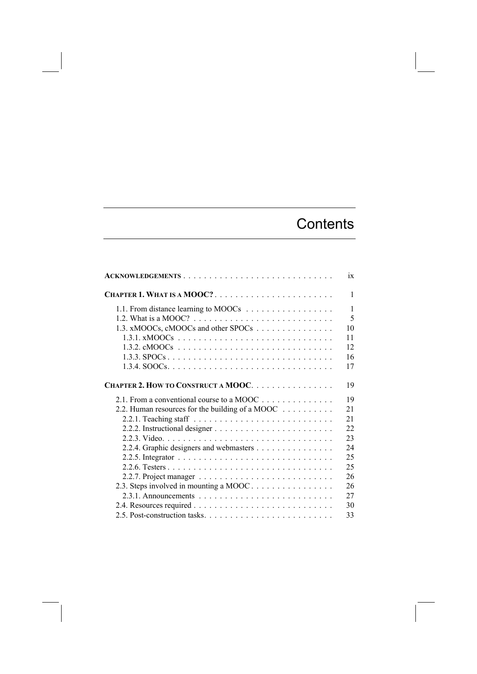## **Contents**

| ACKNOWLEDGEMENTS                                                               | ix           |
|--------------------------------------------------------------------------------|--------------|
| CHAPTER 1. WHAT IS A MOOC?                                                     | $\mathbf{1}$ |
|                                                                                | $\mathbf{1}$ |
| 1.2. What is a MOOC? $\ldots \ldots \ldots \ldots \ldots \ldots \ldots \ldots$ | 5            |
| 1.3. xMOOCs, cMOOCs and other SPOCs                                            | 10           |
|                                                                                | 11           |
|                                                                                | 12           |
|                                                                                | 16           |
|                                                                                | 17           |
| CHAPTER 2. HOW TO CONSTRUCT A MOOC.                                            | 19           |
| 2.1. From a conventional course to a MOOC                                      | 19           |
| 2.2. Human resources for the building of a MOOC                                | 21           |
|                                                                                | 21           |
|                                                                                | 22           |
|                                                                                | 23           |
| 2.2.4. Graphic designers and webmasters                                        | 24           |
|                                                                                | 25           |
|                                                                                | 25           |
|                                                                                | 26           |
| 2.3. Steps involved in mounting a MOOC                                         | 26           |
|                                                                                | 27           |
|                                                                                | 30           |
|                                                                                | 33           |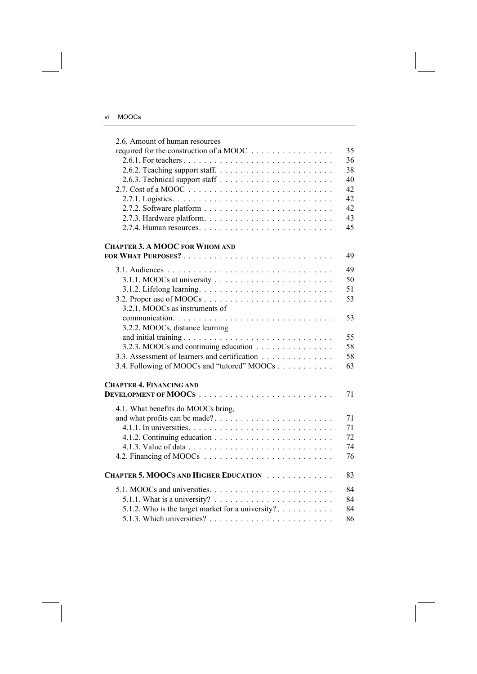| 2.6. Amount of human resources                                                       |    |
|--------------------------------------------------------------------------------------|----|
| required for the construction of a MOOC                                              | 35 |
|                                                                                      | 36 |
|                                                                                      | 38 |
|                                                                                      | 40 |
| 2.7. Cost of a MOOC $\ldots \ldots \ldots \ldots \ldots \ldots \ldots \ldots \ldots$ | 42 |
|                                                                                      | 42 |
|                                                                                      | 42 |
|                                                                                      | 43 |
|                                                                                      | 45 |
| <b>CHAPTER 3. A MOOC FOR WHOM AND</b>                                                |    |
|                                                                                      | 49 |
|                                                                                      | 49 |
|                                                                                      | 50 |
|                                                                                      | 51 |
|                                                                                      | 53 |
| 3.2.1. MOOCs as instruments of                                                       |    |
|                                                                                      | 53 |
| 3.2.2. MOOCs, distance learning                                                      |    |
|                                                                                      | 55 |
| 3.2.3. MOOCs and continuing education                                                | 58 |
| 3.3. Assessment of learners and certification                                        | 58 |
| 3.4. Following of MOOCs and "tutored" MOOCs                                          | 63 |
| <b>CHAPTER 4. FINANCING AND</b>                                                      |    |
|                                                                                      | 71 |
|                                                                                      |    |
| 4.1. What benefits do MOOCs bring,                                                   |    |
| and what profits can be made?                                                        | 71 |
|                                                                                      | 71 |
|                                                                                      | 72 |
|                                                                                      | 74 |
|                                                                                      | 76 |
| CHAPTER 5. MOOCS AND HIGHER EDUCATION                                                | 83 |
|                                                                                      | 84 |
| 5.1.1. What is a university? $\ldots \ldots \ldots \ldots \ldots \ldots \ldots$      | 84 |
| 5.1.2. Who is the target market for a university?                                    | 84 |
|                                                                                      | 86 |